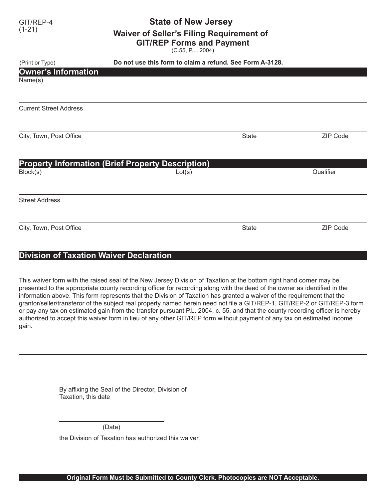## GIT/REP-4 **State of New Jersey**<br>(1-21) **Waiver of Seller's Filing Requirement of GIT/REP Forms and Payment**

(C.55, P.L. 2004)

| (Print or Type)                       | Do not use this form to claim a refund. See Form A-3128.           |              |                 |
|---------------------------------------|--------------------------------------------------------------------|--------------|-----------------|
| <b>Owner's Information</b><br>Name(s) |                                                                    |              |                 |
| <b>Current Street Address</b>         |                                                                    |              |                 |
| City, Town, Post Office               |                                                                    | <b>State</b> | <b>ZIP Code</b> |
| Block(s)                              | <b>Property Information (Brief Property Description)</b><br>Lot(s) |              | Qualifier       |
| <b>Street Address</b>                 |                                                                    |              |                 |
| City, Town, Post Office               |                                                                    | <b>State</b> | <b>ZIP Code</b> |

## **Division of Taxation Waiver Declaration**

This waiver form with the raised seal of the New Jersey Division of Taxation at the bottom right hand corner may be presented to the appropriate county recording officer for recording along with the deed of the owner as identified in the information above. This form represents that the Division of Taxation has granted a waiver of the requirement that the grantor/seller/transferor of the subject real property named herein need not file a GIT/REP-1, GIT/REP-2 or GIT/REP-3 form or pay any tax on estimated gain from the transfer pursuant P.L. 2004, c. 55, and that the county recording officer is hereby authorized to accept this waiver form in lieu of any other GIT/REP form without payment of any tax on estimated income gain.

> By affixing the Seal of the Director, Division of Taxation, this date

> > (Date)

the Division of Taxation has authorized this waiver.